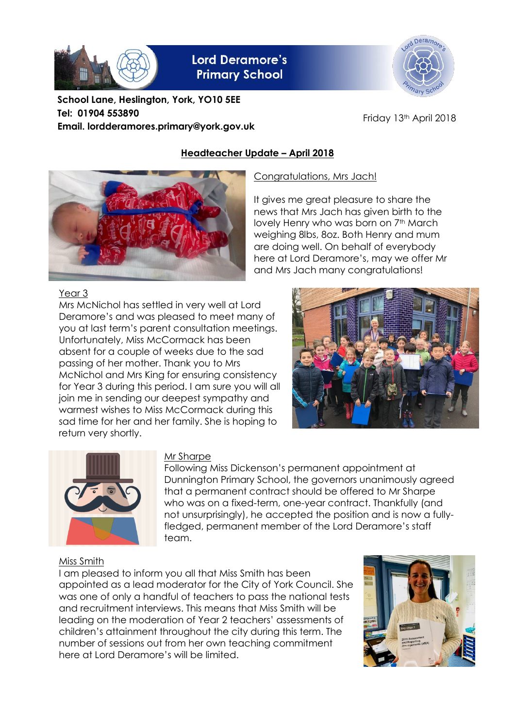

**Lord Deramore's Primary School** 

**School Lane, Heslington, York, YO10 5EE Tel: 01904 553890 Email. lordderamores.primary@york.gov.uk**



Friday 13th April 2018

# **Headteacher Update – April 2018**



It gives me great pleasure to share the news that Mrs Jach has given birth to the lovely Henry who was born on 7<sup>th</sup> March weighing 8lbs, 8oz. Both Henry and mum are doing well. On behalf of everybody here at Lord Deramore's, may we offer Mr and Mrs Jach many congratulations!



#### Year 3

Mrs McNichol has settled in very well at Lord Deramore's and was pleased to meet many of you at last term's parent consultation meetings. Unfortunately, Miss McCormack has been absent for a couple of weeks due to the sad passing of her mother. Thank you to Mrs McNichol and Mrs King for ensuring consistency for Year 3 during this period. I am sure you will all join me in sending our deepest sympathy and warmest wishes to Miss McCormack during this sad time for her and her family. She is hoping to return very shortly.





## Mr Sharpe

Following Miss Dickenson's permanent appointment at Dunnington Primary School, the governors unanimously agreed that a permanent contract should be offered to Mr Sharpe who was on a fixed-term, one-year contract. Thankfully (and not unsurprisingly), he accepted the position and is now a fullyfledged, permanent member of the Lord Deramore's staff team.

## Miss Smith

I am pleased to inform you all that Miss Smith has been appointed as a lead moderator for the City of York Council. She was one of only a handful of teachers to pass the national tests and recruitment interviews. This means that Miss Smith will be leading on the moderation of Year 2 teachers' assessments of children's attainment throughout the city during this term. The number of sessions out from her own teaching commitment here at Lord Deramore's will be limited.

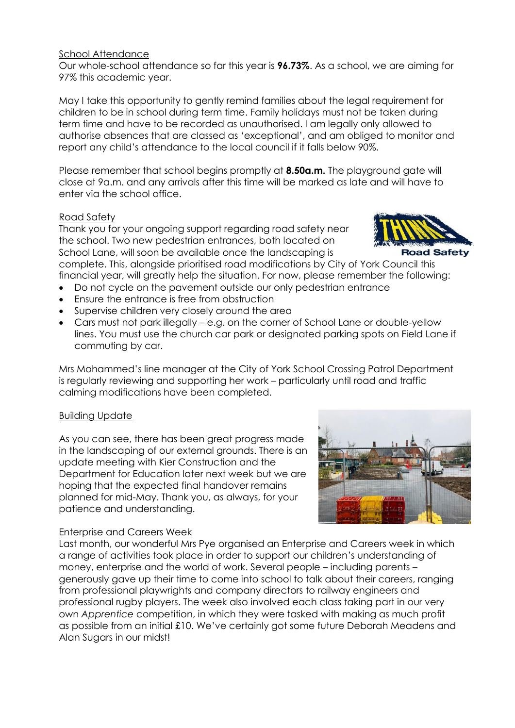#### School Attendance

Our whole-school attendance so far this year is **96.73%**. As a school, we are aiming for 97% this academic year.

May I take this opportunity to gently remind families about the legal requirement for children to be in school during term time. Family holidays must not be taken during term time and have to be recorded as unauthorised. I am legally only allowed to authorise absences that are classed as 'exceptional', and am obliged to monitor and report any child's attendance to the local council if it falls below 90%.

Please remember that school begins promptly at **8.50a.m.** The playground gate will close at 9a.m. and any arrivals after this time will be marked as late and will have to enter via the school office.

## Road Safety

Thank you for your ongoing support regarding road safety near the school. Two new pedestrian entrances, both located on School Lane, will soon be available once the landscaping is

complete. This, alongside prioritised road modifications by City of York Council this financial year, will greatly help the situation. For now, please remember the following:

- Do not cycle on the pavement outside our only pedestrian entrance
- Ensure the entrance is free from obstruction
- Supervise children very closely around the area
- Cars must not park illegally e.g. on the corner of School Lane or double-yellow lines. You must use the church car park or designated parking spots on Field Lane if commuting by car.

Mrs Mohammed's line manager at the City of York School Crossing Patrol Department is regularly reviewing and supporting her work – particularly until road and traffic calming modifications have been completed.

#### Building Update

As you can see, there has been great progress made in the landscaping of our external grounds. There is an update meeting with Kier Construction and the Department for Education later next week but we are hoping that the expected final handover remains planned for mid-May. Thank you, as always, for your patience and understanding.

## Enterprise and Careers Week

Last month, our wonderful Mrs Pye organised an Enterprise and Careers week in which a range of activities took place in order to support our children's understanding of money, enterprise and the world of work. Several people – including parents – generously gave up their time to come into school to talk about their careers, ranging from professional playwrights and company directors to railway engineers and professional rugby players. The week also involved each class taking part in our very own *Apprentice* competition, in which they were tasked with making as much profit as possible from an initial £10. We've certainly got some future Deborah Meadens and Alan Sugars in our midst!